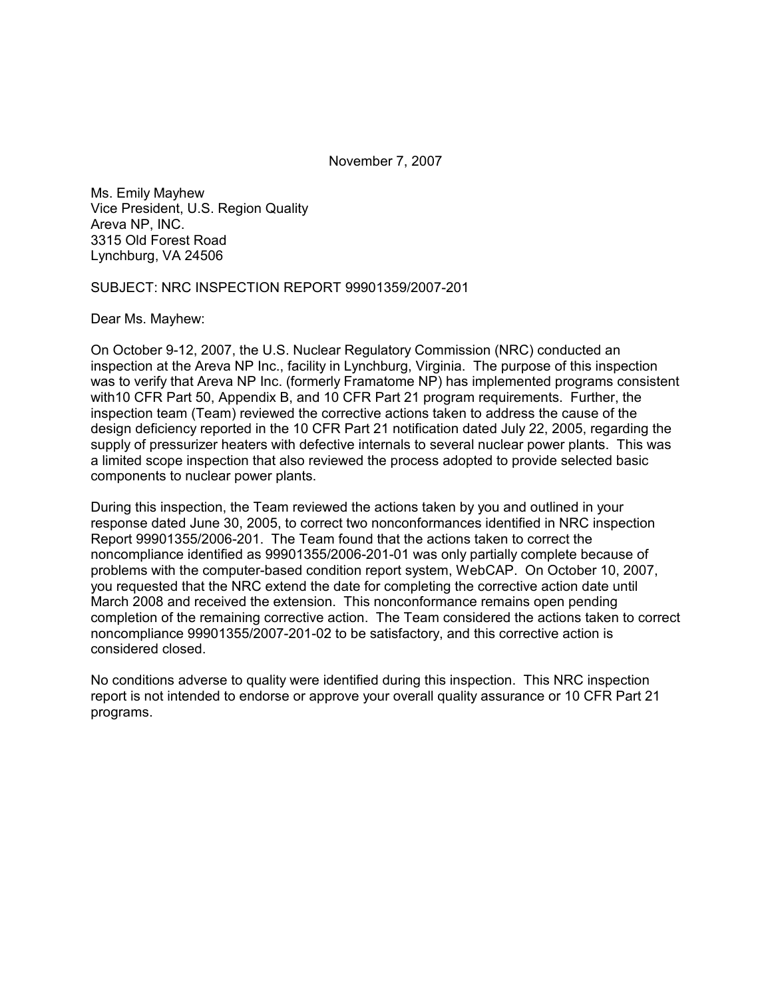November 7, 2007

Ms. Emily Mayhew Vice President, U.S. Region Quality Areva NP, INC. 3315 Old Forest Road Lynchburg, VA 24506

SUBJECT: NRC INSPECTION REPORT 99901359/2007-201

Dear Ms. Mayhew:

On October 9-12, 2007, the U.S. Nuclear Regulatory Commission (NRC) conducted an inspection at the Areva NP Inc., facility in Lynchburg, Virginia. The purpose of this inspection was to verify that Areva NP Inc. (formerly Framatome NP) has implemented programs consistent with10 CFR Part 50, Appendix B, and 10 CFR Part 21 program requirements. Further, the inspection team (Team) reviewed the corrective actions taken to address the cause of the design deficiency reported in the 10 CFR Part 21 notification dated July 22, 2005, regarding the supply of pressurizer heaters with defective internals to several nuclear power plants. This was a limited scope inspection that also reviewed the process adopted to provide selected basic components to nuclear power plants.

During this inspection, the Team reviewed the actions taken by you and outlined in your response dated June 30, 2005, to correct two nonconformances identified in NRC inspection Report 99901355/2006-201. The Team found that the actions taken to correct the noncompliance identified as 99901355/2006-201-01 was only partially complete because of problems with the computer-based condition report system, WebCAP. On October 10, 2007, you requested that the NRC extend the date for completing the corrective action date until March 2008 and received the extension. This nonconformance remains open pending completion of the remaining corrective action. The Team considered the actions taken to correct noncompliance 99901355/2007-201-02 to be satisfactory, and this corrective action is considered closed.

No conditions adverse to quality were identified during this inspection. This NRC inspection report is not intended to endorse or approve your overall quality assurance or 10 CFR Part 21 programs.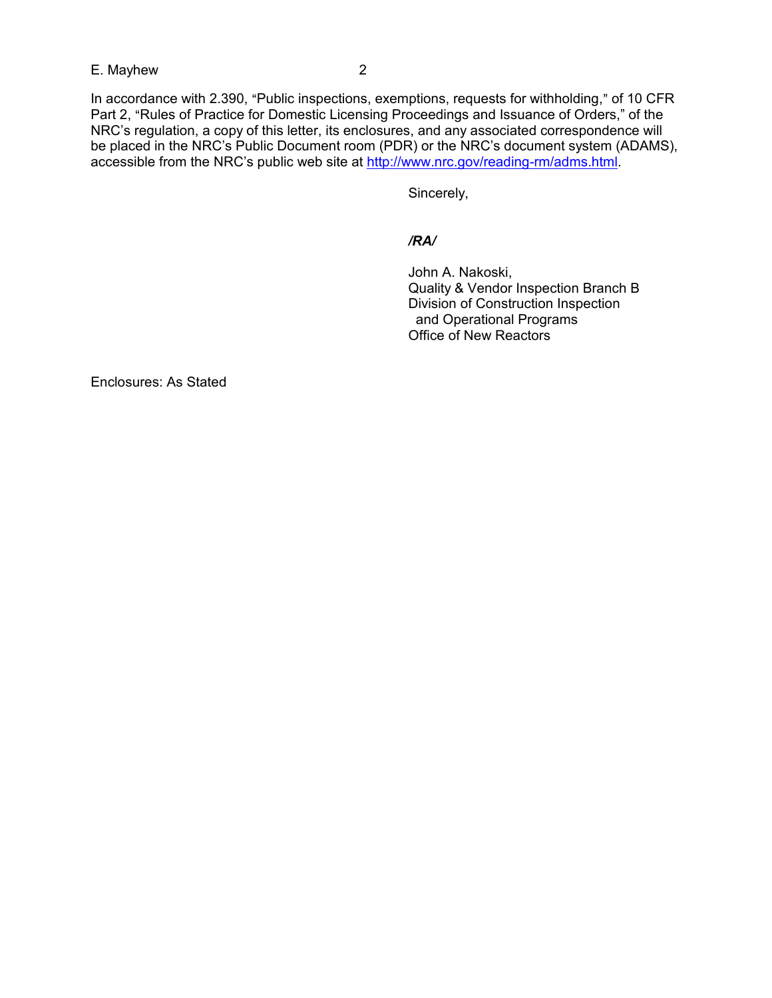E. Mayhew 2

In accordance with 2.390, "Public inspections, exemptions, requests for withholding," of 10 CFR Part 2, "Rules of Practice for Domestic Licensing Proceedings and Issuance of Orders," of the NRC's regulation, a copy of this letter, its enclosures, and any associated correspondence will be placed in the NRC's Public Document room (PDR) or the NRC's document system (ADAMS), accessible from the NRC's public web site at http://www.nrc.gov/reading-rm/adms.html.

Sincerely,

## */RA/*

John A. Nakoski, Quality & Vendor Inspection Branch B Division of Construction Inspection and Operational Programs Office of New Reactors

Enclosures: As Stated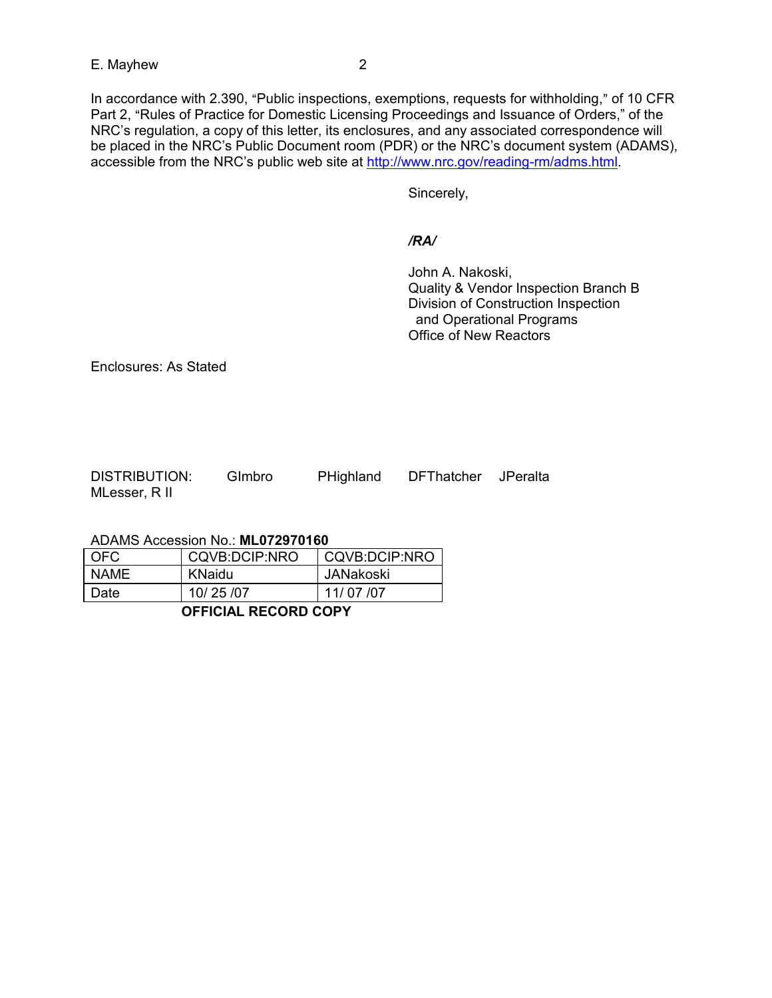In accordance with 2.390, "Public inspections, exemptions, requests for withholding," of 10 CFR Part 2, "Rules of Practice for Domestic Licensing Proceedings and Issuance of Orders," of the NRC's regulation, a copy of this letter, its enclosures, and any associated correspondence will be placed in the NRC's Public Document room (PDR) or the NRC's document system (ADAMS), accessible from the NRC's public web site at http://www.nrc.gov/reading-rm/adms.html.

Sincerely,

#### */RA/*

John A. Nakoski, Quality & Vendor Inspection Branch B Division of Construction Inspection and Operational Programs Office of New Reactors

Enclosures: As Stated

| <b>DISTRIBUTION:</b> | Gimbro | PHighland | DFThatcher JPeralta |  |
|----------------------|--------|-----------|---------------------|--|
| MLesser, R II        |        |           |                     |  |

ADAMS Accession No.: **ML072970160** 

| Date        | 10/25/07      | 11/07/07      |
|-------------|---------------|---------------|
|             |               |               |
| <b>NAMF</b> | KNaidu        | JANakoski     |
| OFC.        | CQVB:DCIP:NRO | CQVB:DCIP:NRO |

### **OFFICIAL RECORD COPY**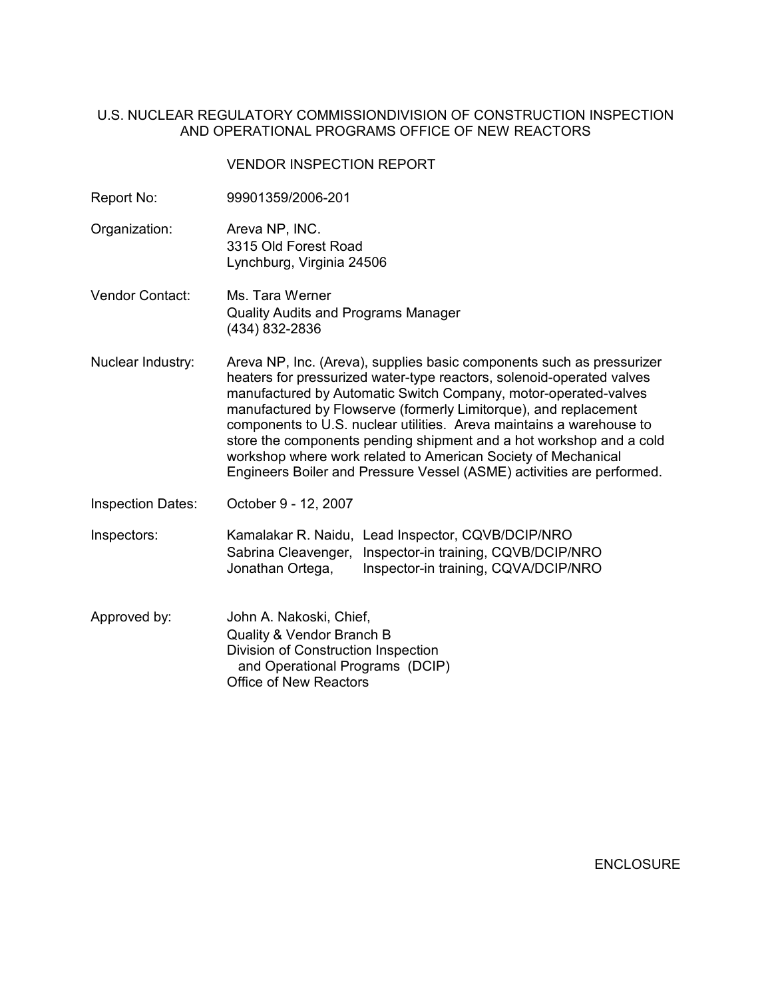## U.S. NUCLEAR REGULATORY COMMISSIONDIVISION OF CONSTRUCTION INSPECTION AND OPERATIONAL PROGRAMS OFFICE OF NEW REACTORS

#### VENDOR INSPECTION REPORT

- Report No: 99901359/2006-201
- Organization: Areva NP, INC. 3315 Old Forest Road Lynchburg, Virginia 24506
- Vendor Contact: Ms. Tara Werner Quality Audits and Programs Manager (434) 832-2836
- Nuclear Industry: Areva NP, Inc. (Areva), supplies basic components such as pressurizer heaters for pressurized water-type reactors, solenoid-operated valves manufactured by Automatic Switch Company, motor-operated-valves manufactured by Flowserve (formerly Limitorque), and replacement components to U.S. nuclear utilities. Areva maintains a warehouse to store the components pending shipment and a hot workshop and a cold workshop where work related to American Society of Mechanical Engineers Boiler and Pressure Vessel (ASME) activities are performed.
- Inspection Dates: October 9 12, 2007

Inspectors: Kamalakar R. Naidu, Lead Inspector, CQVB/DCIP/NRO Sabrina Cleavenger, Inspector-in training, CQVB/DCIP/NRO Jonathan Ortega, Inspector-in training, CQVA/DCIP/NRO

Approved by: John A. Nakoski, Chief, Quality & Vendor Branch B Division of Construction Inspection and Operational Programs (DCIP) Office of New Reactors

**ENCLOSURE**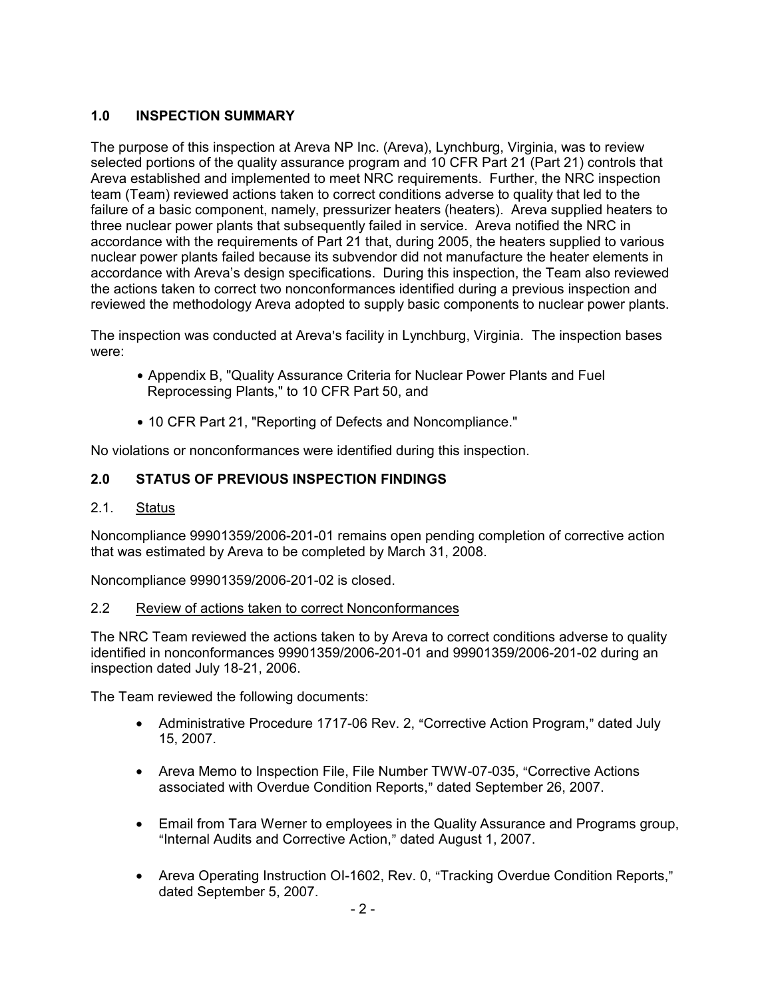# **1.0 INSPECTION SUMMARY**

The purpose of this inspection at Areva NP Inc. (Areva), Lynchburg, Virginia, was to review selected portions of the quality assurance program and 10 CFR Part 21 (Part 21) controls that Areva established and implemented to meet NRC requirements. Further, the NRC inspection team (Team) reviewed actions taken to correct conditions adverse to quality that led to the failure of a basic component, namely, pressurizer heaters (heaters). Areva supplied heaters to three nuclear power plants that subsequently failed in service. Areva notified the NRC in accordance with the requirements of Part 21 that, during 2005, the heaters supplied to various nuclear power plants failed because its subvendor did not manufacture the heater elements in accordance with Areva's design specifications. During this inspection, the Team also reviewed the actions taken to correct two nonconformances identified during a previous inspection and reviewed the methodology Areva adopted to supply basic components to nuclear power plants.

The inspection was conducted at Areva's facility in Lynchburg, Virginia. The inspection bases were:

- Appendix B, "Quality Assurance Criteria for Nuclear Power Plants and Fuel Reprocessing Plants," to 10 CFR Part 50, and
- 10 CFR Part 21, "Reporting of Defects and Noncompliance."

No violations or nonconformances were identified during this inspection.

## **2.0 STATUS OF PREVIOUS INSPECTION FINDINGS**

2.1. Status

Noncompliance 99901359/2006-201-01 remains open pending completion of corrective action that was estimated by Areva to be completed by March 31, 2008.

Noncompliance 99901359/2006-201-02 is closed.

#### 2.2 Review of actions taken to correct Nonconformances

The NRC Team reviewed the actions taken to by Areva to correct conditions adverse to quality identified in nonconformances 99901359/2006-201-01 and 99901359/2006-201-02 during an inspection dated July 18-21, 2006.

The Team reviewed the following documents:

- Administrative Procedure 1717-06 Rev. 2, "Corrective Action Program," dated July 15, 2007.
- Areva Memo to Inspection File, File Number TWW-07-035, "Corrective Actions associated with Overdue Condition Reports," dated September 26, 2007.
- Email from Tara Werner to employees in the Quality Assurance and Programs group, "Internal Audits and Corrective Action," dated August 1, 2007.
- Areva Operating Instruction OI-1602, Rev. 0, "Tracking Overdue Condition Reports," dated September 5, 2007.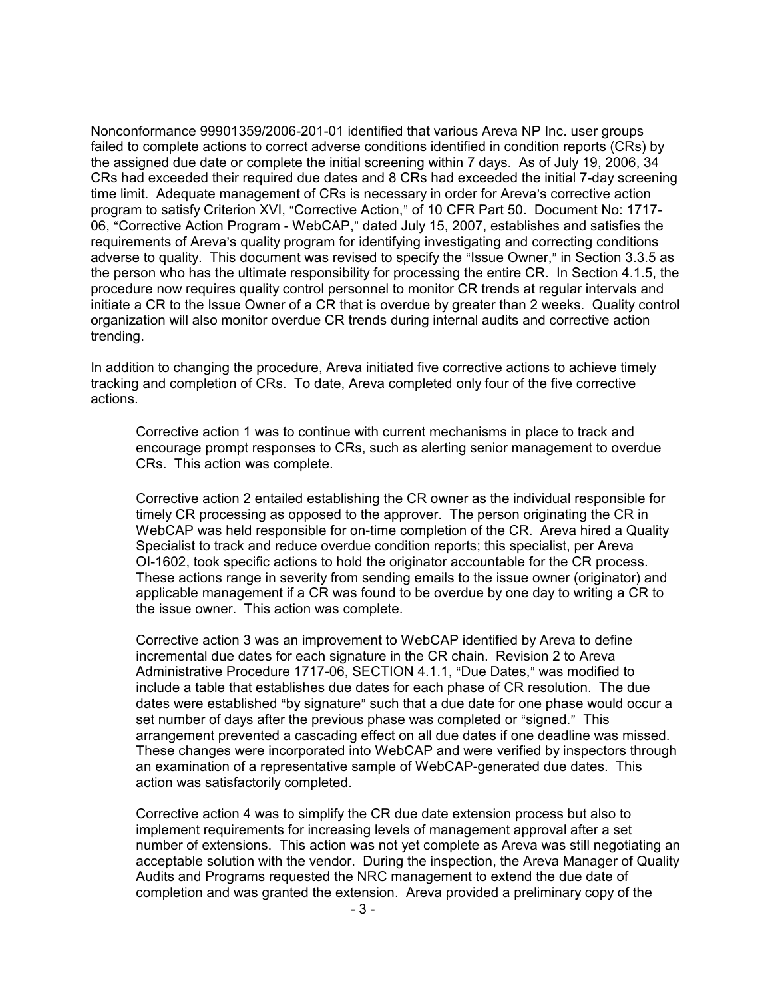Nonconformance 99901359/2006-201-01 identified that various Areva NP Inc. user groups failed to complete actions to correct adverse conditions identified in condition reports (CRs) by the assigned due date or complete the initial screening within 7 days. As of July 19, 2006, 34 CRs had exceeded their required due dates and 8 CRs had exceeded the initial 7-day screening time limit. Adequate management of CRs is necessary in order for Areva's corrective action program to satisfy Criterion XVI, "Corrective Action," of 10 CFR Part 50. Document No: 1717-06, "Corrective Action Program - WebCAP," dated July 15, 2007, establishes and satisfies the requirements of Areva's quality program for identifying investigating and correcting conditions adverse to quality. This document was revised to specify the "Issue Owner," in Section 3.3.5 as the person who has the ultimate responsibility for processing the entire CR. In Section 4.1.5, the procedure now requires quality control personnel to monitor CR trends at regular intervals and initiate a CR to the Issue Owner of a CR that is overdue by greater than 2 weeks. Quality control organization will also monitor overdue CR trends during internal audits and corrective action trending.

In addition to changing the procedure, Areva initiated five corrective actions to achieve timely tracking and completion of CRs. To date, Areva completed only four of the five corrective actions.

Corrective action 1 was to continue with current mechanisms in place to track and encourage prompt responses to CRs, such as alerting senior management to overdue CRs. This action was complete.

Corrective action 2 entailed establishing the CR owner as the individual responsible for timely CR processing as opposed to the approver. The person originating the CR in WebCAP was held responsible for on-time completion of the CR. Areva hired a Quality Specialist to track and reduce overdue condition reports; this specialist, per Areva OI-1602, took specific actions to hold the originator accountable for the CR process. These actions range in severity from sending emails to the issue owner (originator) and applicable management if a CR was found to be overdue by one day to writing a CR to the issue owner. This action was complete.

Corrective action 3 was an improvement to WebCAP identified by Areva to define incremental due dates for each signature in the CR chain. Revision 2 to Areva Administrative Procedure 1717-06, SECTION 4.1.1, "Due Dates," was modified to include a table that establishes due dates for each phase of CR resolution. The due dates were established "by signature" such that a due date for one phase would occur a set number of days after the previous phase was completed or "signed." This arrangement prevented a cascading effect on all due dates if one deadline was missed. These changes were incorporated into WebCAP and were verified by inspectors through an examination of a representative sample of WebCAP-generated due dates. This action was satisfactorily completed.

Corrective action 4 was to simplify the CR due date extension process but also to implement requirements for increasing levels of management approval after a set number of extensions. This action was not yet complete as Areva was still negotiating an acceptable solution with the vendor. During the inspection, the Areva Manager of Quality Audits and Programs requested the NRC management to extend the due date of completion and was granted the extension. Areva provided a preliminary copy of the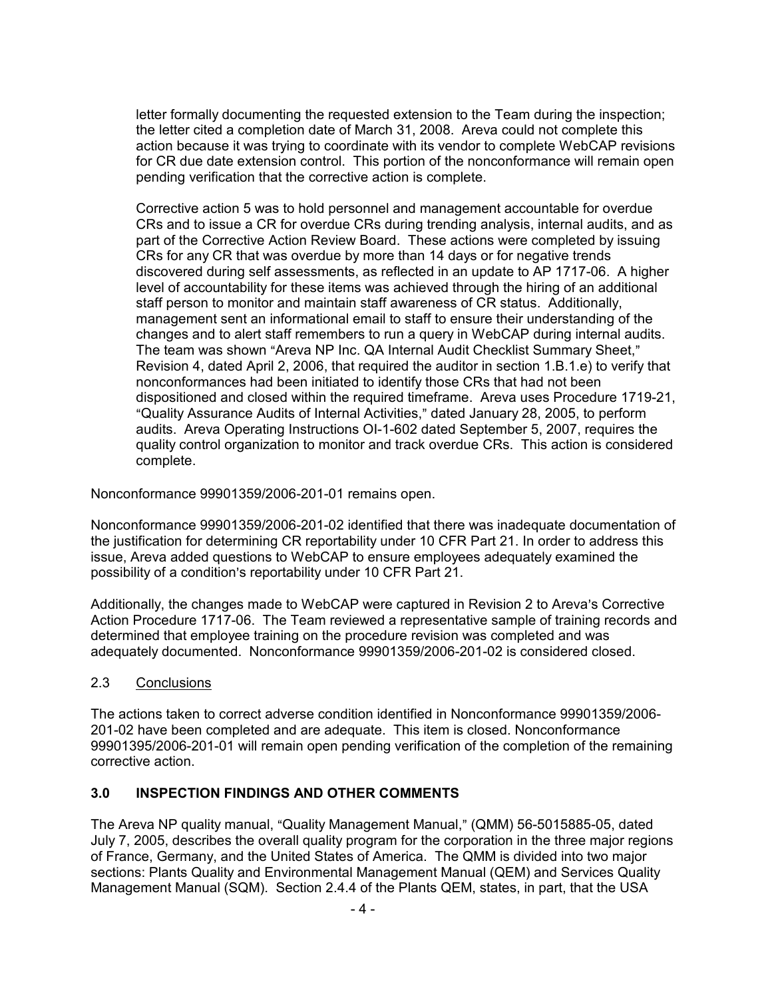letter formally documenting the requested extension to the Team during the inspection; the letter cited a completion date of March 31, 2008. Areva could not complete this action because it was trying to coordinate with its vendor to complete WebCAP revisions for CR due date extension control. This portion of the nonconformance will remain open pending verification that the corrective action is complete.

Corrective action 5 was to hold personnel and management accountable for overdue CRs and to issue a CR for overdue CRs during trending analysis, internal audits, and as part of the Corrective Action Review Board. These actions were completed by issuing CRs for any CR that was overdue by more than 14 days or for negative trends discovered during self assessments, as reflected in an update to AP 1717-06. A higher level of accountability for these items was achieved through the hiring of an additional staff person to monitor and maintain staff awareness of CR status. Additionally, management sent an informational email to staff to ensure their understanding of the changes and to alert staff remembers to run a query in WebCAP during internal audits. The team was shown "Areva NP Inc. QA Internal Audit Checklist Summary Sheet," Revision 4, dated April 2, 2006, that required the auditor in section 1.B.1.e) to verify that nonconformances had been initiated to identify those CRs that had not been dispositioned and closed within the required timeframe. Areva uses Procedure 1719-21, "Quality Assurance Audits of Internal Activities," dated January 28, 2005, to perform audits. Areva Operating Instructions OI-1-602 dated September 5, 2007, requires the quality control organization to monitor and track overdue CRs. This action is considered complete.

Nonconformance 99901359/2006-201-01 remains open.

Nonconformance 99901359/2006-201-02 identified that there was inadequate documentation of the justification for determining CR reportability under 10 CFR Part 21. In order to address this issue, Areva added questions to WebCAP to ensure employees adequately examined the possibility of a condition's reportability under 10 CFR Part 21.

Additionally, the changes made to WebCAP were captured in Revision 2 to Areva's Corrective Action Procedure 1717-06. The Team reviewed a representative sample of training records and determined that employee training on the procedure revision was completed and was adequately documented. Nonconformance 99901359/2006-201-02 is considered closed.

## 2.3 Conclusions

The actions taken to correct adverse condition identified in Nonconformance 99901359/2006- 201-02 have been completed and are adequate. This item is closed. Nonconformance 99901395/2006-201-01 will remain open pending verification of the completion of the remaining corrective action.

## **3.0 INSPECTION FINDINGS AND OTHER COMMENTS**

The Areva NP quality manual, "Quality Management Manual," (QMM) 56-5015885-05, dated July 7, 2005, describes the overall quality program for the corporation in the three major regions of France, Germany, and the United States of America. The QMM is divided into two major sections: Plants Quality and Environmental Management Manual (QEM) and Services Quality Management Manual (SQM). Section 2.4.4 of the Plants QEM, states, in part, that the USA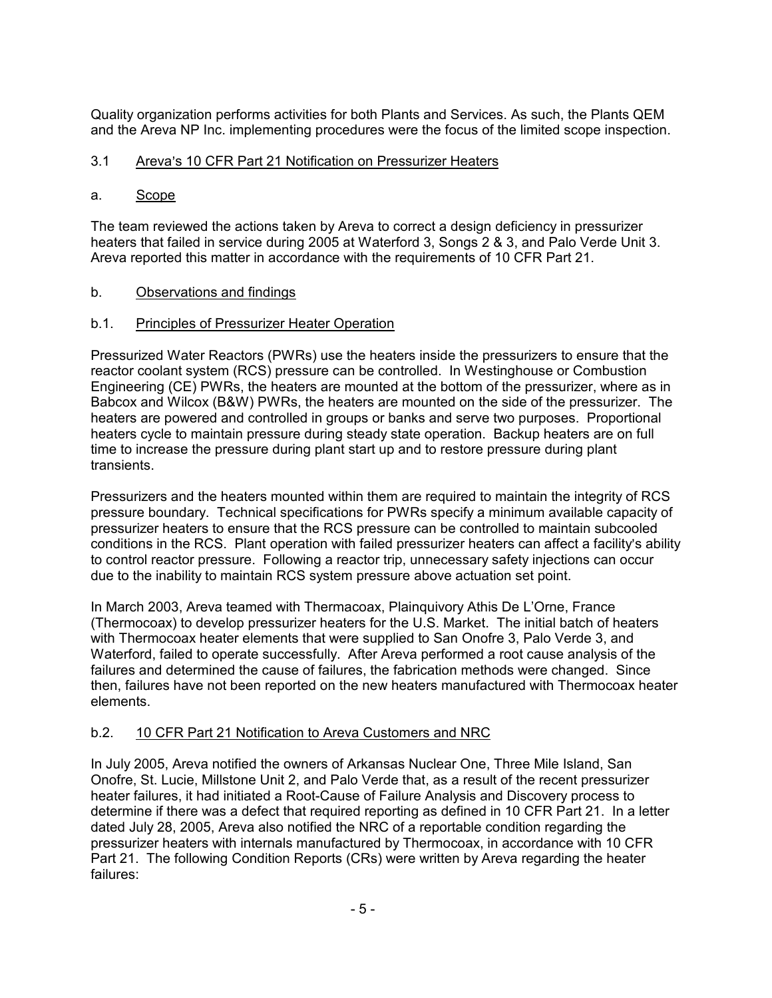Quality organization performs activities for both Plants and Services. As such, the Plants QEM and the Areva NP Inc. implementing procedures were the focus of the limited scope inspection.

# 3.1 Areva's 10 CFR Part 21 Notification on Pressurizer Heaters

## a. Scope

The team reviewed the actions taken by Areva to correct a design deficiency in pressurizer heaters that failed in service during 2005 at Waterford 3, Songs 2 & 3, and Palo Verde Unit 3. Areva reported this matter in accordance with the requirements of 10 CFR Part 21.

## b. Observations and findings

## b.1. Principles of Pressurizer Heater Operation

Pressurized Water Reactors (PWRs) use the heaters inside the pressurizers to ensure that the reactor coolant system (RCS) pressure can be controlled. In Westinghouse or Combustion Engineering (CE) PWRs, the heaters are mounted at the bottom of the pressurizer, where as in Babcox and Wilcox (B&W) PWRs, the heaters are mounted on the side of the pressurizer. The heaters are powered and controlled in groups or banks and serve two purposes. Proportional heaters cycle to maintain pressure during steady state operation. Backup heaters are on full time to increase the pressure during plant start up and to restore pressure during plant transients.

Pressurizers and the heaters mounted within them are required to maintain the integrity of RCS pressure boundary. Technical specifications for PWRs specify a minimum available capacity of pressurizer heaters to ensure that the RCS pressure can be controlled to maintain subcooled conditions in the RCS. Plant operation with failed pressurizer heaters can affect a facility's ability to control reactor pressure. Following a reactor trip, unnecessary safety injections can occur due to the inability to maintain RCS system pressure above actuation set point.

In March 2003, Areva teamed with Thermacoax, Plainquivory Athis De L'Orne, France (Thermocoax) to develop pressurizer heaters for the U.S. Market. The initial batch of heaters with Thermocoax heater elements that were supplied to San Onofre 3, Palo Verde 3, and Waterford, failed to operate successfully. After Areva performed a root cause analysis of the failures and determined the cause of failures, the fabrication methods were changed. Since then, failures have not been reported on the new heaters manufactured with Thermocoax heater elements.

## b.2. 10 CFR Part 21 Notification to Areva Customers and NRC

In July 2005, Areva notified the owners of Arkansas Nuclear One, Three Mile Island, San Onofre, St. Lucie, Millstone Unit 2, and Palo Verde that, as a result of the recent pressurizer heater failures, it had initiated a Root-Cause of Failure Analysis and Discovery process to determine if there was a defect that required reporting as defined in 10 CFR Part 21. In a letter dated July 28, 2005, Areva also notified the NRC of a reportable condition regarding the pressurizer heaters with internals manufactured by Thermocoax, in accordance with 10 CFR Part 21. The following Condition Reports (CRs) were written by Areva regarding the heater failures: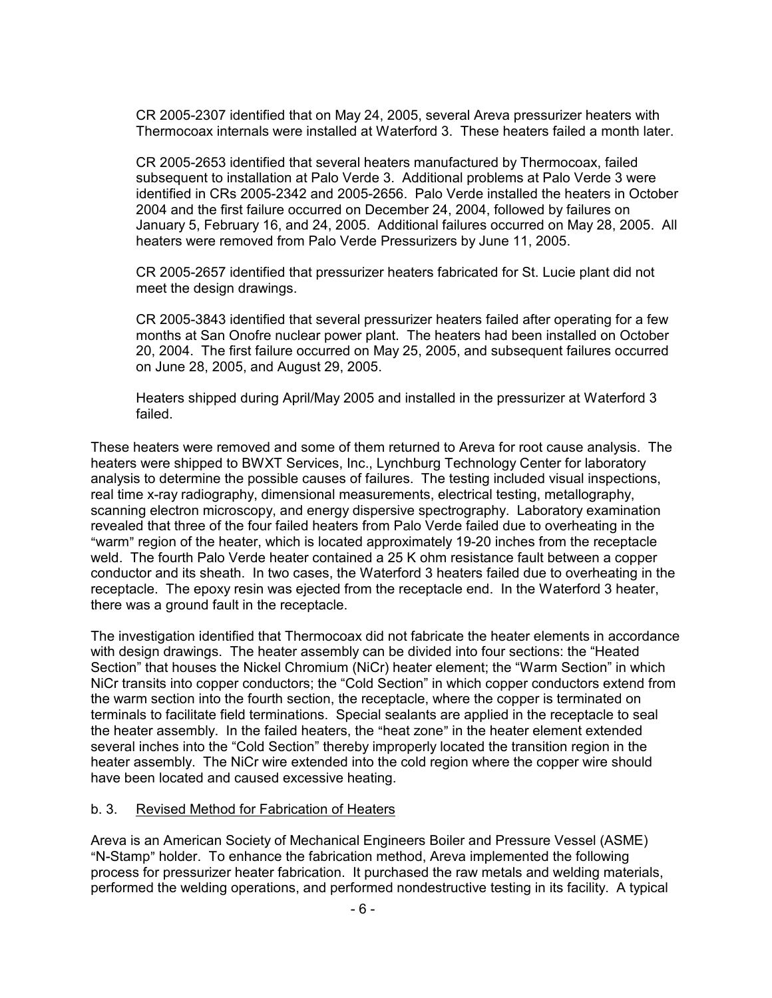CR 2005-2307 identified that on May 24, 2005, several Areva pressurizer heaters with Thermocoax internals were installed at Waterford 3. These heaters failed a month later.

CR 2005-2653 identified that several heaters manufactured by Thermocoax, failed subsequent to installation at Palo Verde 3. Additional problems at Palo Verde 3 were identified in CRs 2005-2342 and 2005-2656. Palo Verde installed the heaters in October 2004 and the first failure occurred on December 24, 2004, followed by failures on January 5, February 16, and 24, 2005. Additional failures occurred on May 28, 2005. All heaters were removed from Palo Verde Pressurizers by June 11, 2005.

CR 2005-2657 identified that pressurizer heaters fabricated for St. Lucie plant did not meet the design drawings.

CR 2005-3843 identified that several pressurizer heaters failed after operating for a few months at San Onofre nuclear power plant. The heaters had been installed on October 20, 2004. The first failure occurred on May 25, 2005, and subsequent failures occurred on June 28, 2005, and August 29, 2005.

Heaters shipped during April/May 2005 and installed in the pressurizer at Waterford 3 failed.

These heaters were removed and some of them returned to Areva for root cause analysis. The heaters were shipped to BWXT Services, Inc., Lynchburg Technology Center for laboratory analysis to determine the possible causes of failures. The testing included visual inspections, real time x-ray radiography, dimensional measurements, electrical testing, metallography, scanning electron microscopy, and energy dispersive spectrography. Laboratory examination revealed that three of the four failed heaters from Palo Verde failed due to overheating in the "warm" region of the heater, which is located approximately 19-20 inches from the receptacle weld. The fourth Palo Verde heater contained a 25 K ohm resistance fault between a copper conductor and its sheath. In two cases, the Waterford 3 heaters failed due to overheating in the receptacle. The epoxy resin was ejected from the receptacle end. In the Waterford 3 heater, there was a ground fault in the receptacle.

The investigation identified that Thermocoax did not fabricate the heater elements in accordance with design drawings. The heater assembly can be divided into four sections: the "Heated Section" that houses the Nickel Chromium (NiCr) heater element; the "Warm Section" in which NiCr transits into copper conductors; the "Cold Section" in which copper conductors extend from the warm section into the fourth section, the receptacle, where the copper is terminated on terminals to facilitate field terminations. Special sealants are applied in the receptacle to seal the heater assembly. In the failed heaters, the "heat zone" in the heater element extended several inches into the "Cold Section" thereby improperly located the transition region in the heater assembly. The NiCr wire extended into the cold region where the copper wire should have been located and caused excessive heating.

#### b. 3. Revised Method for Fabrication of Heaters

Areva is an American Society of Mechanical Engineers Boiler and Pressure Vessel (ASME) "N-Stamp" holder. To enhance the fabrication method, Areva implemented the following process for pressurizer heater fabrication. It purchased the raw metals and welding materials, performed the welding operations, and performed nondestructive testing in its facility. A typical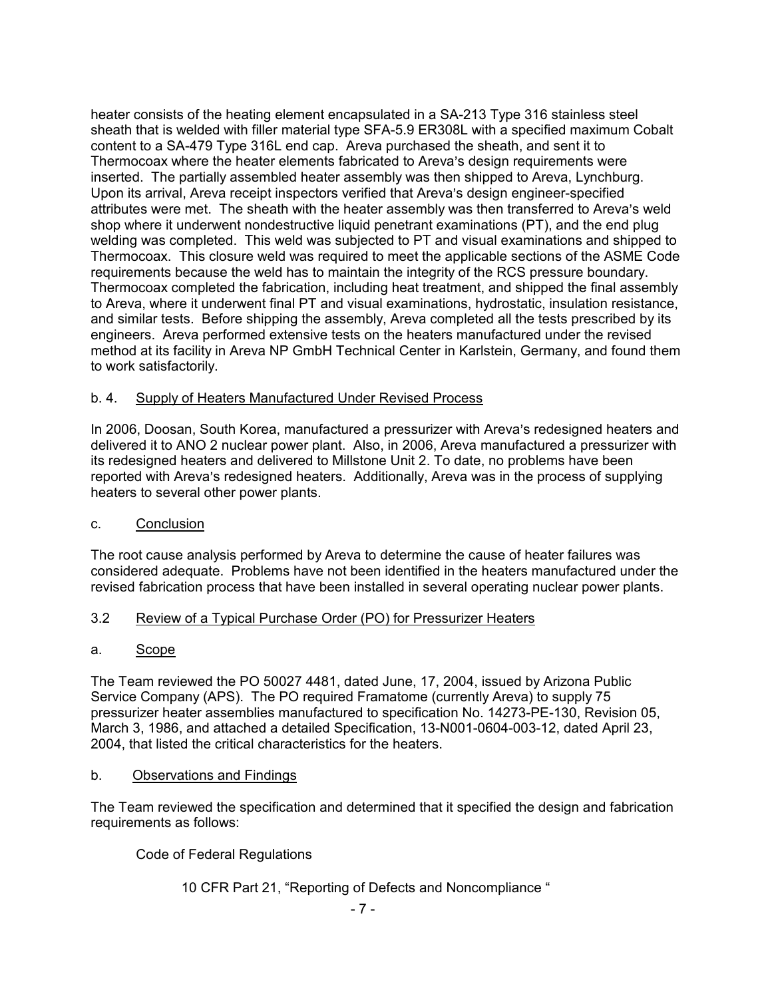heater consists of the heating element encapsulated in a SA-213 Type 316 stainless steel sheath that is welded with filler material type SFA-5.9 ER308L with a specified maximum Cobalt content to a SA-479 Type 316L end cap. Areva purchased the sheath, and sent it to Thermocoax where the heater elements fabricated to Areva's design requirements were inserted. The partially assembled heater assembly was then shipped to Areva, Lynchburg. Upon its arrival, Areva receipt inspectors verified that Areva's design engineer-specified attributes were met. The sheath with the heater assembly was then transferred to Areva's weld shop where it underwent nondestructive liquid penetrant examinations (PT), and the end plug welding was completed. This weld was subjected to PT and visual examinations and shipped to Thermocoax. This closure weld was required to meet the applicable sections of the ASME Code requirements because the weld has to maintain the integrity of the RCS pressure boundary. Thermocoax completed the fabrication, including heat treatment, and shipped the final assembly to Areva, where it underwent final PT and visual examinations, hydrostatic, insulation resistance, and similar tests. Before shipping the assembly, Areva completed all the tests prescribed by its engineers. Areva performed extensive tests on the heaters manufactured under the revised method at its facility in Areva NP GmbH Technical Center in Karlstein, Germany, and found them to work satisfactorily.

## b. 4. Supply of Heaters Manufactured Under Revised Process

In 2006, Doosan, South Korea, manufactured a pressurizer with Areva's redesigned heaters and delivered it to ANO 2 nuclear power plant. Also, in 2006, Areva manufactured a pressurizer with its redesigned heaters and delivered to Millstone Unit 2. To date, no problems have been reported with Areva's redesigned heaters. Additionally, Areva was in the process of supplying heaters to several other power plants.

## c. Conclusion

The root cause analysis performed by Areva to determine the cause of heater failures was considered adequate. Problems have not been identified in the heaters manufactured under the revised fabrication process that have been installed in several operating nuclear power plants.

# 3.2 Review of a Typical Purchase Order (PO) for Pressurizer Heaters

## a. Scope

The Team reviewed the PO 50027 4481, dated June, 17, 2004, issued by Arizona Public Service Company (APS). The PO required Framatome (currently Areva) to supply 75 pressurizer heater assemblies manufactured to specification No. 14273-PE-130, Revision 05, March 3, 1986, and attached a detailed Specification, 13-N001-0604-003-12, dated April 23, 2004, that listed the critical characteristics for the heaters.

## b. Observations and Findings

The Team reviewed the specification and determined that it specified the design and fabrication requirements as follows:

Code of Federal Regulations

# 10 CFR Part 21, "Reporting of Defects and Noncompliance "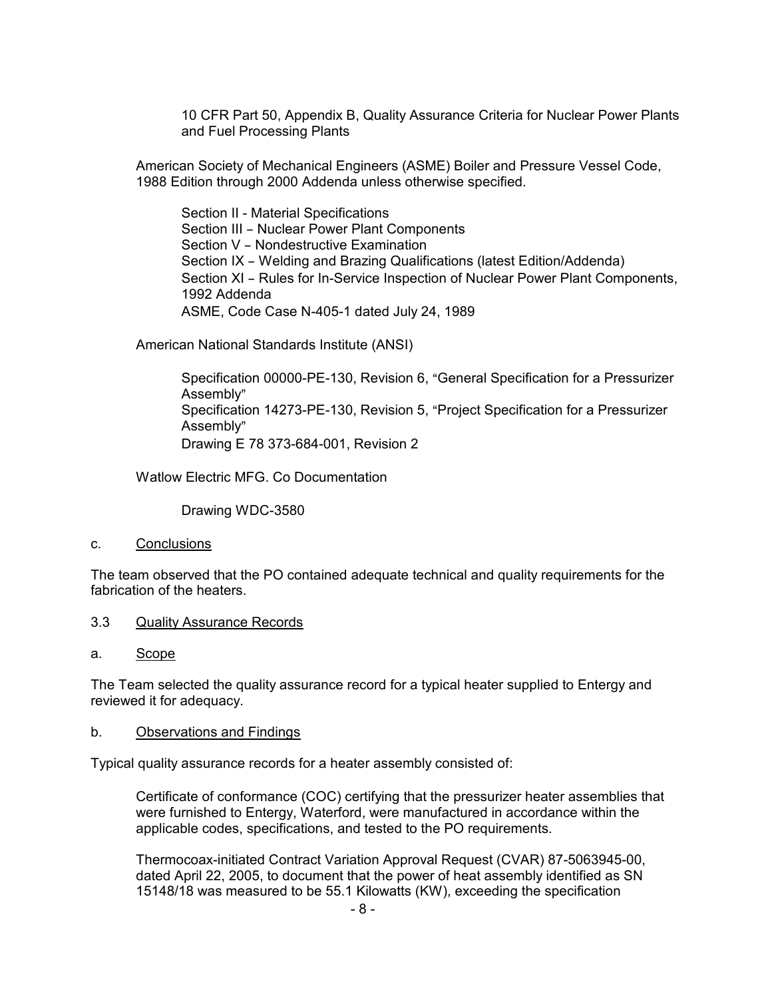10 CFR Part 50, Appendix B, Quality Assurance Criteria for Nuclear Power Plants and Fuel Processing Plants

American Society of Mechanical Engineers (ASME) Boiler and Pressure Vessel Code, 1988 Edition through 2000 Addenda unless otherwise specified.

Section II - Material Specifications Section III - Nuclear Power Plant Components Section V - Nondestructive Examination Section IX - Welding and Brazing Qualifications (latest Edition/Addenda) Section XI - Rules for In-Service Inspection of Nuclear Power Plant Components, 1992 Addenda ASME, Code Case N-405-1 dated July 24, 1989

American National Standards Institute (ANSI)

Specification 00000-PE-130, Revision 6, "General Specification for a Pressurizer Assembly" Specification 14273-PE-130, Revision 5, "Project Specification for a Pressurizer Assembly" Drawing E 78 373-684-001, Revision 2

Watlow Electric MFG. Co Documentation

Drawing WDC-3580

#### c. Conclusions

The team observed that the PO contained adequate technical and quality requirements for the fabrication of the heaters.

#### 3.3 Quality Assurance Records

#### a. Scope

The Team selected the quality assurance record for a typical heater supplied to Entergy and reviewed it for adequacy.

#### b. Observations and Findings

Typical quality assurance records for a heater assembly consisted of:

Certificate of conformance (COC) certifying that the pressurizer heater assemblies that were furnished to Entergy, Waterford, were manufactured in accordance within the applicable codes, specifications, and tested to the PO requirements.

Thermocoax-initiated Contract Variation Approval Request (CVAR) 87-5063945-00, dated April 22, 2005, to document that the power of heat assembly identified as SN 15148/18 was measured to be 55.1 Kilowatts (KW), exceeding the specification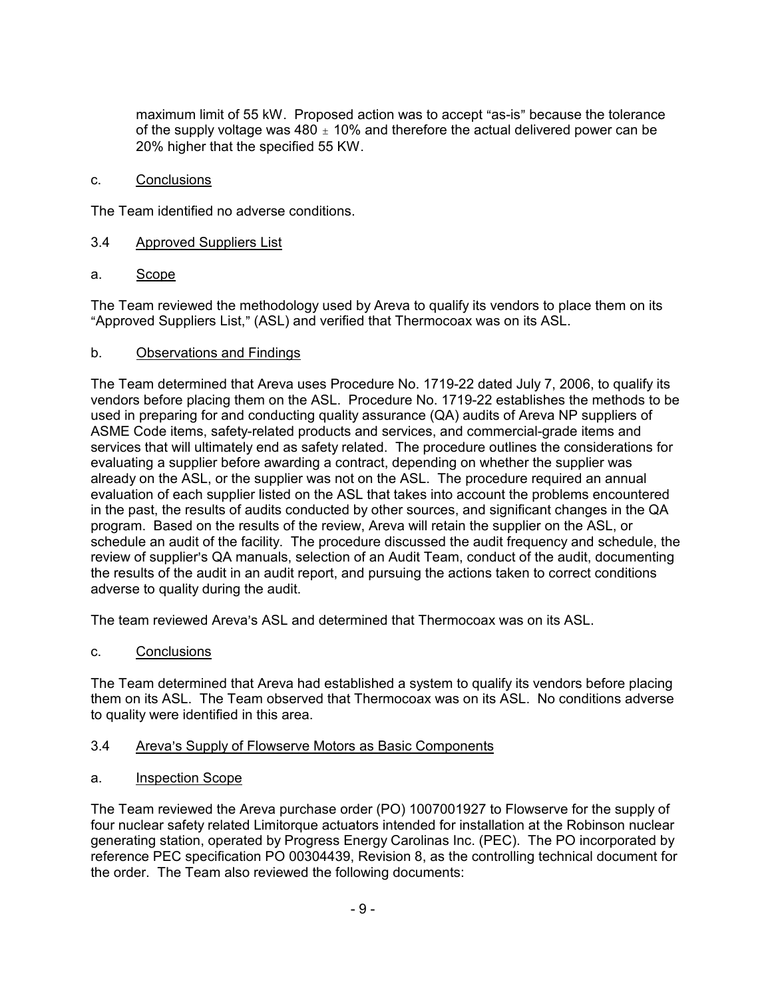maximum limit of 55 kW. Proposed action was to accept "as-is" because the tolerance of the supply voltage was 480  $\pm$  10% and therefore the actual delivered power can be 20% higher that the specified 55 KW.

c. Conclusions

The Team identified no adverse conditions.

- 3.4 Approved Suppliers List
- a. Scope

The Team reviewed the methodology used by Areva to qualify its vendors to place them on its "Approved Suppliers List," (ASL) and verified that Thermocoax was on its ASL.

## b. Observations and Findings

The Team determined that Areva uses Procedure No. 1719-22 dated July 7, 2006, to qualify its vendors before placing them on the ASL. Procedure No. 1719-22 establishes the methods to be used in preparing for and conducting quality assurance (QA) audits of Areva NP suppliers of ASME Code items, safety-related products and services, and commercial-grade items and services that will ultimately end as safety related. The procedure outlines the considerations for evaluating a supplier before awarding a contract, depending on whether the supplier was already on the ASL, or the supplier was not on the ASL. The procedure required an annual evaluation of each supplier listed on the ASL that takes into account the problems encountered in the past, the results of audits conducted by other sources, and significant changes in the QA program. Based on the results of the review, Areva will retain the supplier on the ASL, or schedule an audit of the facility. The procedure discussed the audit frequency and schedule, the review of supplier's QA manuals, selection of an Audit Team, conduct of the audit, documenting the results of the audit in an audit report, and pursuing the actions taken to correct conditions adverse to quality during the audit.

The team reviewed Areva's ASL and determined that Thermocoax was on its ASL.

c. Conclusions

The Team determined that Areva had established a system to qualify its vendors before placing them on its ASL. The Team observed that Thermocoax was on its ASL. No conditions adverse to quality were identified in this area.

#### 3.4 Areva's Supply of Flowserve Motors as Basic Components

a. Inspection Scope

The Team reviewed the Areva purchase order (PO) 1007001927 to Flowserve for the supply of four nuclear safety related Limitorque actuators intended for installation at the Robinson nuclear generating station, operated by Progress Energy Carolinas Inc. (PEC). The PO incorporated by reference PEC specification PO 00304439, Revision 8, as the controlling technical document for the order. The Team also reviewed the following documents: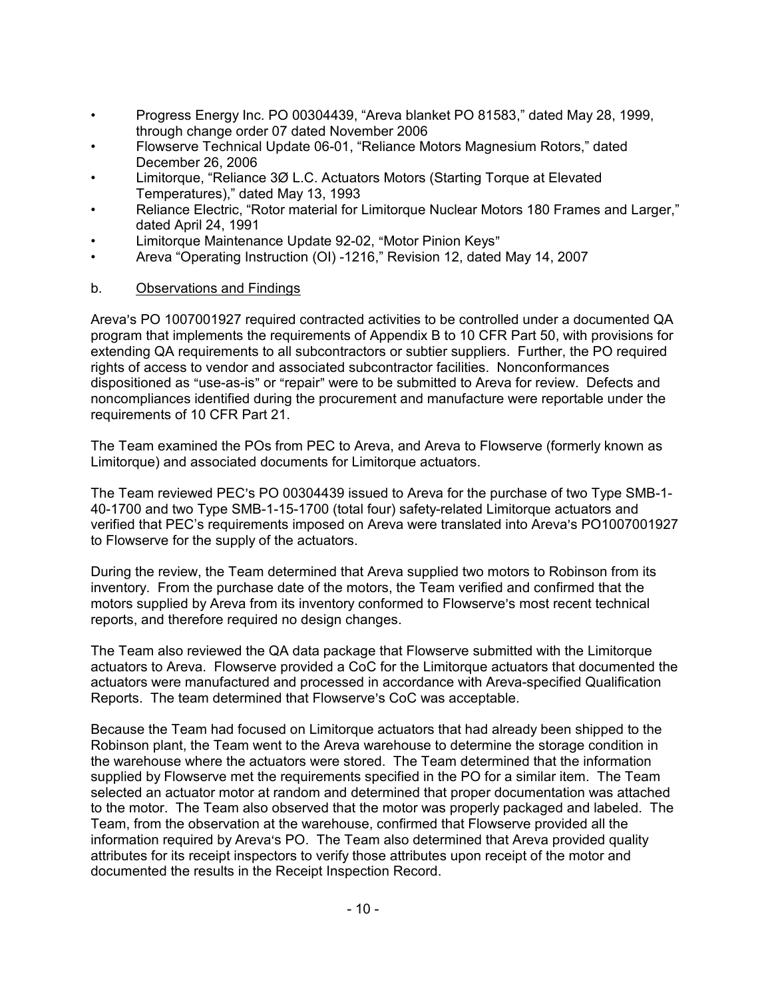- Progress Energy Inc. PO 00304439, "Areva blanket PO 81583," dated May 28, 1999, through change order 07 dated November 2006
- Flowserve Technical Update 06-01, "Reliance Motors Magnesium Rotors," dated December 26, 2006
- Limitorque, "Reliance 3Ø L.C. Actuators Motors (Starting Torque at Elevated Temperatures)," dated May 13, 1993
- Reliance Electric, "Rotor material for Limitorque Nuclear Motors 180 Frames and Larger." dated April 24, 1991
- Limitorque Maintenance Update 92-02, "Motor Pinion Keys"
- Areva "Operating Instruction (OI) -1216," Revision 12, dated May 14, 2007
- b. Observations and Findings

Areva's PO 1007001927 required contracted activities to be controlled under a documented QA program that implements the requirements of Appendix B to 10 CFR Part 50, with provisions for extending QA requirements to all subcontractors or subtier suppliers. Further, the PO required rights of access to vendor and associated subcontractor facilities. Nonconformances dispositioned as "use-as-is" or "repair" were to be submitted to Areva for review. Defects and noncompliances identified during the procurement and manufacture were reportable under the requirements of 10 CFR Part 21.

The Team examined the POs from PEC to Areva, and Areva to Flowserve (formerly known as Limitorque) and associated documents for Limitorque actuators.

The Team reviewed PEC's PO 00304439 issued to Areva for the purchase of two Type SMB-1-40-1700 and two Type SMB-1-15-1700 (total four) safety-related Limitorque actuators and verified that PEC's requirements imposed on Areva were translated into Areva's PO1007001927 to Flowserve for the supply of the actuators.

During the review, the Team determined that Areva supplied two motors to Robinson from its inventory. From the purchase date of the motors, the Team verified and confirmed that the motors supplied by Areva from its inventory conformed to Flowserve's most recent technical reports, and therefore required no design changes.

The Team also reviewed the QA data package that Flowserve submitted with the Limitorque actuators to Areva. Flowserve provided a CoC for the Limitorque actuators that documented the actuators were manufactured and processed in accordance with Areva-specified Qualification Reports. The team determined that Flowserve's CoC was acceptable.

Because the Team had focused on Limitorque actuators that had already been shipped to the Robinson plant, the Team went to the Areva warehouse to determine the storage condition in the warehouse where the actuators were stored. The Team determined that the information supplied by Flowserve met the requirements specified in the PO for a similar item. The Team selected an actuator motor at random and determined that proper documentation was attached to the motor. The Team also observed that the motor was properly packaged and labeled. The Team, from the observation at the warehouse, confirmed that Flowserve provided all the information required by Areva's PO. The Team also determined that Areva provided quality attributes for its receipt inspectors to verify those attributes upon receipt of the motor and documented the results in the Receipt Inspection Record.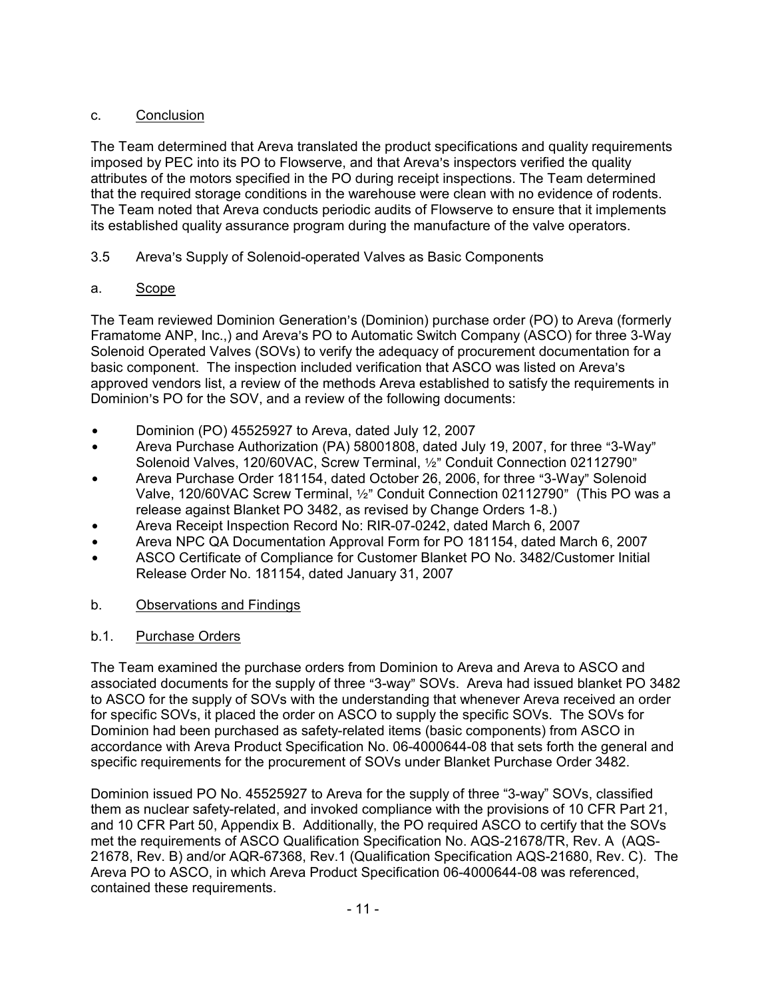# c. Conclusion

The Team determined that Areva translated the product specifications and quality requirements imposed by PEC into its PO to Flowserve, and that Areva's inspectors verified the quality attributes of the motors specified in the PO during receipt inspections. The Team determined that the required storage conditions in the warehouse were clean with no evidence of rodents. The Team noted that Areva conducts periodic audits of Flowserve to ensure that it implements its established quality assurance program during the manufacture of the valve operators.

# 3.5 Areva's Supply of Solenoid-operated Valves as Basic Components

# a. Scope

The Team reviewed Dominion Generation's (Dominion) purchase order (PO) to Areva (formerly Framatome ANP, Inc.,) and Areva's PO to Automatic Switch Company (ASCO) for three 3-Way Solenoid Operated Valves (SOVs) to verify the adequacy of procurement documentation for a basic component. The inspection included verification that ASCO was listed on Areva's approved vendors list, a review of the methods Areva established to satisfy the requirements in Dominion's PO for the SOV, and a review of the following documents:

- Dominion (PO) 45525927 to Areva, dated July 12, 2007
- $\bullet$  Areva Purchase Authorization (PA) 58001808, dated July 19, 2007, for three "3-Way" Solenoid Valves, 120/60VAC, Screw Terminal,  $1/2$ " Conduit Connection 02112790"
- Areva Purchase Order 181154, dated October 26, 2006, for three "3-Way" Solenoid Valve, 120/60VAC Screw Terminal, 1/2" Conduit Connection 02112790" (This PO was a release against Blanket PO 3482, as revised by Change Orders 1-8.)
- Areva Receipt Inspection Record No: RIR-07-0242, dated March 6, 2007
- \* Areva NPC QA Documentation Approval Form for PO 181154, dated March 6, 2007
- ASCO Certificate of Compliance for Customer Blanket PO No. 3482/Customer Initial Release Order No. 181154, dated January 31, 2007

# b. Observations and Findings

# b.1. Purchase Orders

The Team examined the purchase orders from Dominion to Areva and Areva to ASCO and associated documents for the supply of three "3-way" SOVs. Areva had issued blanket PO 3482 to ASCO for the supply of SOVs with the understanding that whenever Areva received an order for specific SOVs, it placed the order on ASCO to supply the specific SOVs. The SOVs for Dominion had been purchased as safety-related items (basic components) from ASCO in accordance with Areva Product Specification No. 06-4000644-08 that sets forth the general and specific requirements for the procurement of SOVs under Blanket Purchase Order 3482.

Dominion issued PO No. 45525927 to Areva for the supply of three "3-way" SOVs, classified them as nuclear safety-related, and invoked compliance with the provisions of 10 CFR Part 21, and 10 CFR Part 50, Appendix B. Additionally, the PO required ASCO to certify that the SOVs met the requirements of ASCO Qualification Specification No. AQS-21678/TR, Rev. A (AQS-21678, Rev. B) and/or AQR-67368, Rev.1 (Qualification Specification AQS-21680, Rev. C). The Areva PO to ASCO, in which Areva Product Specification 06-4000644-08 was referenced, contained these requirements.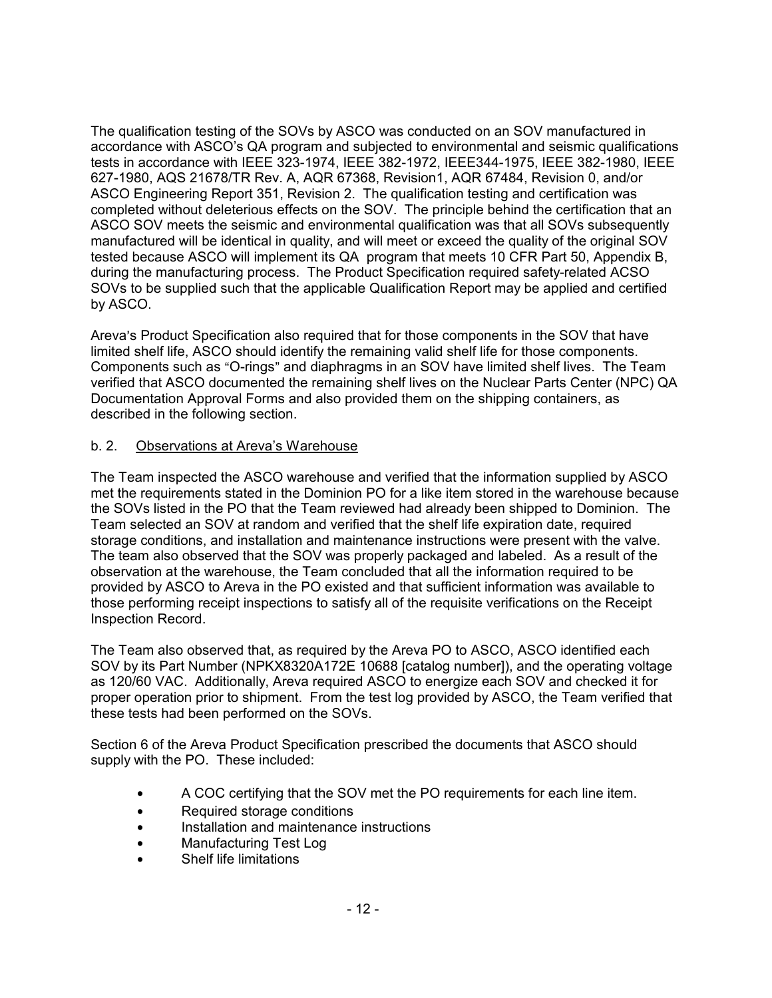The qualification testing of the SOVs by ASCO was conducted on an SOV manufactured in accordance with ASCO's QA program and subjected to environmental and seismic qualifications tests in accordance with IEEE 323-1974, IEEE 382-1972, IEEE344-1975, IEEE 382-1980, IEEE 627-1980, AQS 21678/TR Rev. A, AQR 67368, Revision1, AQR 67484, Revision 0, and/or ASCO Engineering Report 351, Revision 2. The qualification testing and certification was completed without deleterious effects on the SOV. The principle behind the certification that an ASCO SOV meets the seismic and environmental qualification was that all SOVs subsequently manufactured will be identical in quality, and will meet or exceed the quality of the original SOV tested because ASCO will implement its QA program that meets 10 CFR Part 50, Appendix B, during the manufacturing process. The Product Specification required safety-related ACSO SOVs to be supplied such that the applicable Qualification Report may be applied and certified by ASCO.

Areva's Product Specification also required that for those components in the SOV that have limited shelf life, ASCO should identify the remaining valid shelf life for those components. Components such as "O-rings" and diaphragms in an SOV have limited shelf lives. The Team verified that ASCO documented the remaining shelf lives on the Nuclear Parts Center (NPC) QA Documentation Approval Forms and also provided them on the shipping containers, as described in the following section.

# b. 2. Observations at Areva's Warehouse

The Team inspected the ASCO warehouse and verified that the information supplied by ASCO met the requirements stated in the Dominion PO for a like item stored in the warehouse because the SOVs listed in the PO that the Team reviewed had already been shipped to Dominion. The Team selected an SOV at random and verified that the shelf life expiration date, required storage conditions, and installation and maintenance instructions were present with the valve. The team also observed that the SOV was properly packaged and labeled. As a result of the observation at the warehouse, the Team concluded that all the information required to be provided by ASCO to Areva in the PO existed and that sufficient information was available to those performing receipt inspections to satisfy all of the requisite verifications on the Receipt Inspection Record.

The Team also observed that, as required by the Areva PO to ASCO, ASCO identified each SOV by its Part Number (NPKX8320A172E 10688 [catalog number]), and the operating voltage as 120/60 VAC. Additionally, Areva required ASCO to energize each SOV and checked it for proper operation prior to shipment. From the test log provided by ASCO, the Team verified that these tests had been performed on the SOVs.

Section 6 of the Areva Product Specification prescribed the documents that ASCO should supply with the PO. These included:

- A COC certifying that the SOV met the PO requirements for each line item.
- Required storage conditions
- $\bullet$  Installation and maintenance instructions
- Manufacturing Test Log
- **Shelf life limitations**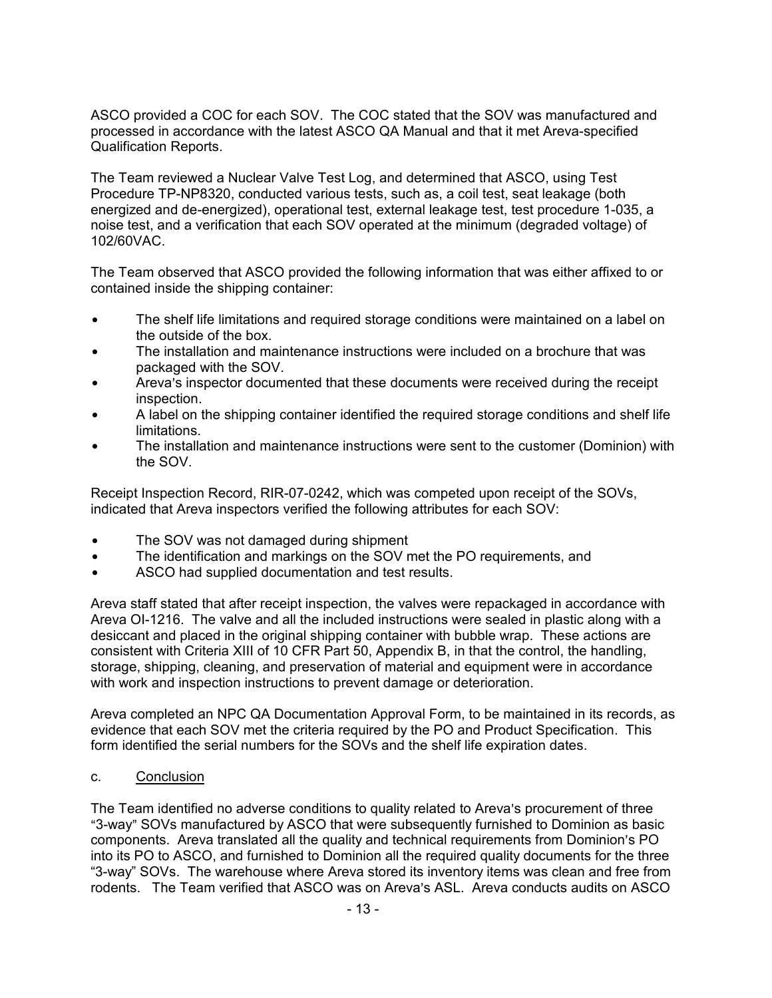ASCO provided a COC for each SOV. The COC stated that the SOV was manufactured and processed in accordance with the latest ASCO QA Manual and that it met Areva-specified Qualification Reports.

The Team reviewed a Nuclear Valve Test Log, and determined that ASCO, using Test Procedure TP-NP8320, conducted various tests, such as, a coil test, seat leakage (both energized and de-energized), operational test, external leakage test, test procedure 1-035, a noise test, and a verification that each SOV operated at the minimum (degraded voltage) of 102/60VAC.

The Team observed that ASCO provided the following information that was either affixed to or contained inside the shipping container:

- The shelf life limitations and required storage conditions were maintained on a label on the outside of the box.
- The installation and maintenance instructions were included on a brochure that was packaged with the SOV.
- Areva's inspector documented that these documents were received during the receipt inspection.
- A label on the shipping container identified the required storage conditions and shelf life limitations.
- The installation and maintenance instructions were sent to the customer (Dominion) with the SOV.

Receipt Inspection Record, RIR-07-0242, which was competed upon receipt of the SOVs, indicated that Areva inspectors verified the following attributes for each SOV:

- The SOV was not damaged during shipment
- The identification and markings on the SOV met the PO requirements, and
- ASCO had supplied documentation and test results.

Areva staff stated that after receipt inspection, the valves were repackaged in accordance with Areva OI-1216. The valve and all the included instructions were sealed in plastic along with a desiccant and placed in the original shipping container with bubble wrap. These actions are consistent with Criteria XIII of 10 CFR Part 50, Appendix B, in that the control, the handling, storage, shipping, cleaning, and preservation of material and equipment were in accordance with work and inspection instructions to prevent damage or deterioration.

Areva completed an NPC QA Documentation Approval Form, to be maintained in its records, as evidence that each SOV met the criteria required by the PO and Product Specification. This form identified the serial numbers for the SOVs and the shelf life expiration dates.

c. Conclusion

The Team identified no adverse conditions to quality related to Areva's procurement of three "3-way" SOVs manufactured by ASCO that were subsequently furnished to Dominion as basic components. Areva translated all the quality and technical requirements from Dominion's PO into its PO to ASCO, and furnished to Dominion all the required quality documents for the three "3-way" SOVs. The warehouse where Areva stored its inventory items was clean and free from rodents. The Team verified that ASCO was on Areva's ASL. Areva conducts audits on ASCO